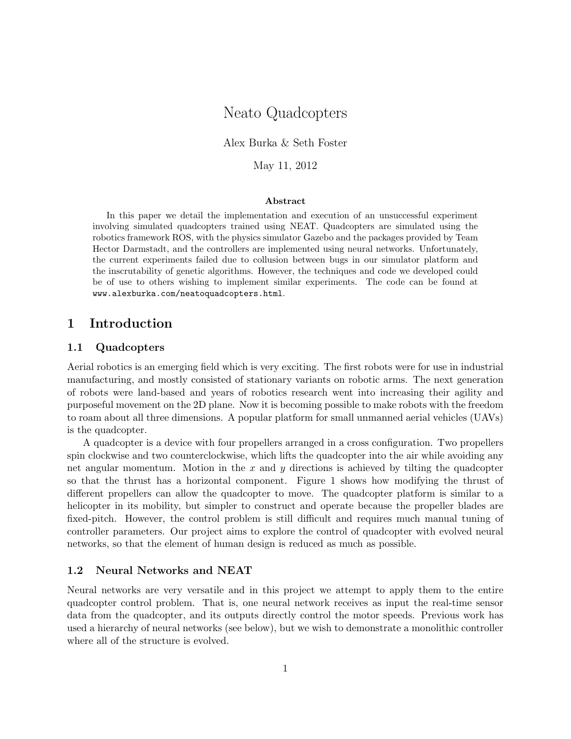# Neato Quadcopters

Alex Burka & Seth Foster

May 11, 2012

## Abstract

In this paper we detail the implementation and execution of an unsuccessful experiment involving simulated quadcopters trained using NEAT. Quadcopters are simulated using the robotics framework ROS, with the physics simulator Gazebo and the packages provided by Team Hector Darmstadt, and the controllers are implemented using neural networks. Unfortunately, the current experiments failed due to collusion between bugs in our simulator platform and the inscrutability of genetic algorithms. However, the techniques and code we developed could be of use to others wishing to implement similar experiments. The code can be found at www.alexburka.com/neatoquadcopters.html.

# 1 Introduction

## 1.1 Quadcopters

Aerial robotics is an emerging field which is very exciting. The first robots were for use in industrial manufacturing, and mostly consisted of stationary variants on robotic arms. The next generation of robots were land-based and years of robotics research went into increasing their agility and purposeful movement on the 2D plane. Now it is becoming possible to make robots with the freedom to roam about all three dimensions. A popular platform for small unmanned aerial vehicles (UAVs) is the quadcopter.

A quadcopter is a device with four propellers arranged in a cross configuration. Two propellers spin clockwise and two counterclockwise, which lifts the quadcopter into the air while avoiding any net angular momentum. Motion in the  $x$  and  $y$  directions is achieved by tilting the quadcopter so that the thrust has a horizontal component. Figure 1 shows how modifying the thrust of different propellers can allow the quadcopter to move. The quadcopter platform is similar to a helicopter in its mobility, but simpler to construct and operate because the propeller blades are fixed-pitch. However, the control problem is still difficult and requires much manual tuning of controller parameters. Our project aims to explore the control of quadcopter with evolved neural networks, so that the element of human design is reduced as much as possible.

#### 1.2 Neural Networks and NEAT

Neural networks are very versatile and in this project we attempt to apply them to the entire quadcopter control problem. That is, one neural network receives as input the real-time sensor data from the quadcopter, and its outputs directly control the motor speeds. Previous work has used a hierarchy of neural networks (see below), but we wish to demonstrate a monolithic controller where all of the structure is evolved.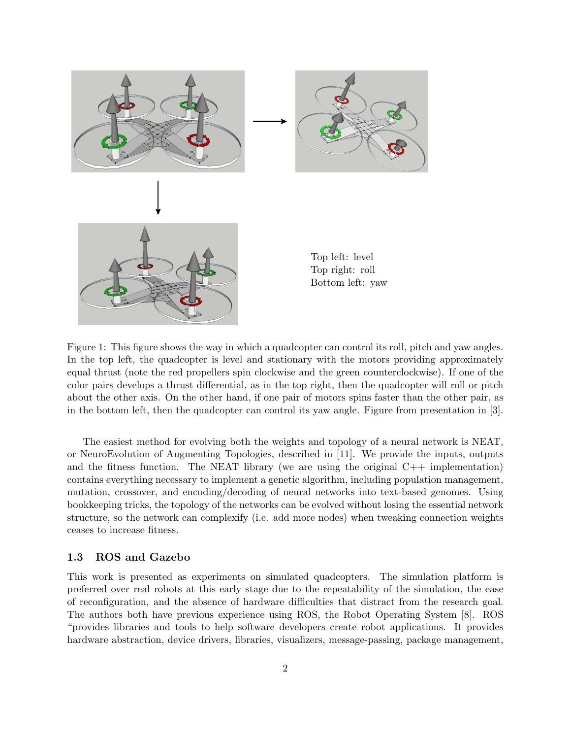

Figure 1: This figure shows the way in which a quadcopter can control its roll, pitch and yaw angles. In the top left, the quadcopter is level and stationary with the motors providing approximately equal thrust (note the red propellers spin clockwise and the green counterclockwise). If one of the color pairs develops a thrust differential, as in the top right, then the quadcopter will roll or pitch about the other axis. On the other hand, if one pair of motors spins faster than the other pair, as in the bottom left, then the quadcopter can control its yaw angle. Figure from presentation in [3].

The easiest method for evolving both the weights and topology of a neural network is NEAT, or NeuroEvolution of Augmenting Topologies, described in [11]. We provide the inputs, outputs and the fitness function. The NEAT library (we are using the original  $C++$  implementation) contains everything necessary to implement a genetic algorithm, including population management, mutation, crossover, and encoding/decoding of neural networks into text-based genomes. Using bookkeeping tricks, the topology of the networks can be evolved without losing the essential network structure, so the network can complexify (i.e. add more nodes) when tweaking connection weights ceases to increase fitness.

## 1.3 ROS and Gazebo

This work is presented as experiments on simulated quadcopters. The simulation platform is preferred over real robots at this early stage due to the repeatability of the simulation, the ease of reconfiguration, and the absence of hardware difficulties that distract from the research goal. The authors both have previous experience using ROS, the Robot Operating System [8]. ROS "provides libraries and tools to help software developers create robot applications. It provides hardware abstraction, device drivers, libraries, visualizers, message-passing, package management,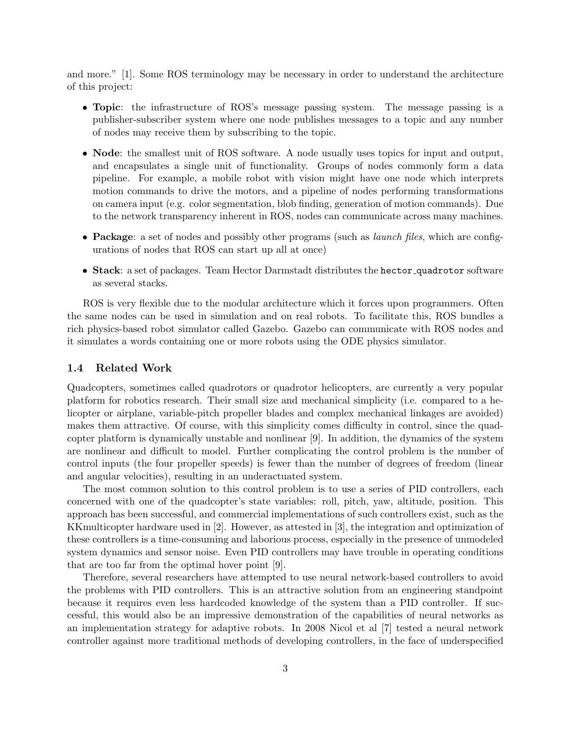and more." [1]. Some ROS terminology may be necessary in order to understand the architecture of this project:

- Topic: the infrastructure of ROS's message passing system. The message passing is a publisher-subscriber system where one node publishes messages to a topic and any number of nodes may receive them by subscribing to the topic.
- Node: the smallest unit of ROS software. A node usually uses topics for input and output, and encapsulates a single unit of functionality. Groups of nodes commonly form a data pipeline. For example, a mobile robot with vision might have one node which interprets motion commands to drive the motors, and a pipeline of nodes performing transformations on camera input (e.g. color segmentation, blob finding, generation of motion commands). Due to the network transparency inherent in ROS, nodes can communicate across many machines.
- Package: a set of nodes and possibly other programs (such as *launch files*, which are configurations of nodes that ROS can start up all at once)
- Stack: a set of packages. Team Hector Darmstadt distributes the hector quadrotor software as several stacks.

ROS is very flexible due to the modular architecture which it forces upon programmers. Often the same nodes can be used in simulation and on real robots. To facilitate this, ROS bundles a rich physics-based robot simulator called Gazebo. Gazebo can communicate with ROS nodes and it simulates a words containing one or more robots using the ODE physics simulator.

#### 1.4 Related Work

Quadcopters, sometimes called quadrotors or quadrotor helicopters, are currently a very popular platform for robotics research. Their small size and mechanical simplicity (i.e. compared to a helicopter or airplane, variable-pitch propeller blades and complex mechanical linkages are avoided) makes them attractive. Of course, with this simplicity comes difficulty in control, since the quadcopter platform is dynamically unstable and nonlinear [9]. In addition, the dynamics of the system are nonlinear and difficult to model. Further complicating the control problem is the number of control inputs (the four propeller speeds) is fewer than the number of degrees of freedom (linear and angular velocities), resulting in an underactuated system.

The most common solution to this control problem is to use a series of PID controllers, each concerned with one of the quadcopter's state variables: roll, pitch, yaw, altitude, position. This approach has been successful, and commercial implementations of such controllers exist, such as the KKmulticopter hardware used in [2]. However, as attested in [3], the integration and optimization of these controllers is a time-consuming and laborious process, especially in the presence of unmodeled system dynamics and sensor noise. Even PID controllers may have trouble in operating conditions that are too far from the optimal hover point [9].

Therefore, several researchers have attempted to use neural network-based controllers to avoid the problems with PID controllers. This is an attractive solution from an engineering standpoint because it requires even less hardcoded knowledge of the system than a PID controller. If successful, this would also be an impressive demonstration of the capabilities of neural networks as an implementation strategy for adaptive robots. In 2008 Nicol et al [7] tested a neural network controller against more traditional methods of developing controllers, in the face of underspecified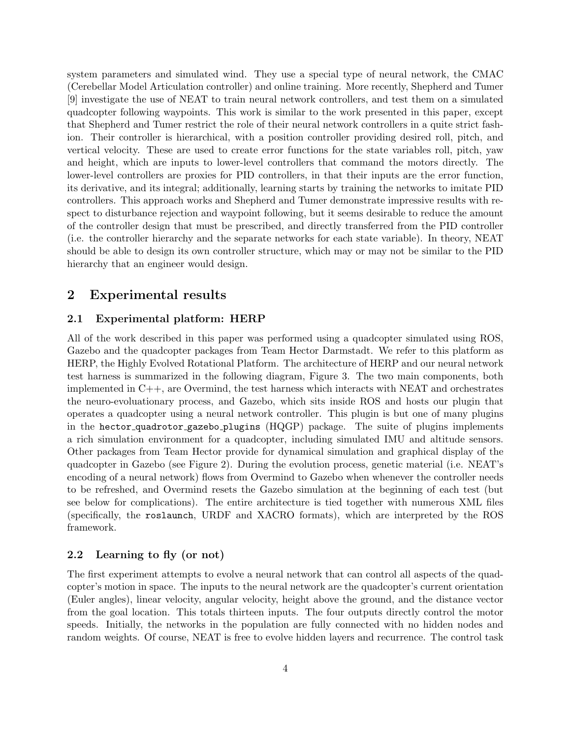system parameters and simulated wind. They use a special type of neural network, the CMAC (Cerebellar Model Articulation controller) and online training. More recently, Shepherd and Tumer [9] investigate the use of NEAT to train neural network controllers, and test them on a simulated quadcopter following waypoints. This work is similar to the work presented in this paper, except that Shepherd and Tumer restrict the role of their neural network controllers in a quite strict fashion. Their controller is hierarchical, with a position controller providing desired roll, pitch, and vertical velocity. These are used to create error functions for the state variables roll, pitch, yaw and height, which are inputs to lower-level controllers that command the motors directly. The lower-level controllers are proxies for PID controllers, in that their inputs are the error function, its derivative, and its integral; additionally, learning starts by training the networks to imitate PID controllers. This approach works and Shepherd and Tumer demonstrate impressive results with respect to disturbance rejection and waypoint following, but it seems desirable to reduce the amount of the controller design that must be prescribed, and directly transferred from the PID controller (i.e. the controller hierarchy and the separate networks for each state variable). In theory, NEAT should be able to design its own controller structure, which may or may not be similar to the PID hierarchy that an engineer would design.

# 2 Experimental results

# 2.1 Experimental platform: HERP

All of the work described in this paper was performed using a quadcopter simulated using ROS, Gazebo and the quadcopter packages from Team Hector Darmstadt. We refer to this platform as HERP, the Highly Evolved Rotational Platform. The architecture of HERP and our neural network test harness is summarized in the following diagram, Figure 3. The two main components, both implemented in  $C_{++}$ , are Overmind, the test harness which interacts with NEAT and orchestrates the neuro-evoluationary process, and Gazebo, which sits inside ROS and hosts our plugin that operates a quadcopter using a neural network controller. This plugin is but one of many plugins in the hector quadrotor gazebo plugins (HQGP) package. The suite of plugins implements a rich simulation environment for a quadcopter, including simulated IMU and altitude sensors. Other packages from Team Hector provide for dynamical simulation and graphical display of the quadcopter in Gazebo (see Figure 2). During the evolution process, genetic material (i.e. NEAT's encoding of a neural network) flows from Overmind to Gazebo when whenever the controller needs to be refreshed, and Overmind resets the Gazebo simulation at the beginning of each test (but see below for complications). The entire architecture is tied together with numerous XML files (specifically, the roslaunch, URDF and XACRO formats), which are interpreted by the ROS framework.

## 2.2 Learning to fly (or not)

The first experiment attempts to evolve a neural network that can control all aspects of the quadcopter's motion in space. The inputs to the neural network are the quadcopter's current orientation (Euler angles), linear velocity, angular velocity, height above the ground, and the distance vector from the goal location. This totals thirteen inputs. The four outputs directly control the motor speeds. Initially, the networks in the population are fully connected with no hidden nodes and random weights. Of course, NEAT is free to evolve hidden layers and recurrence. The control task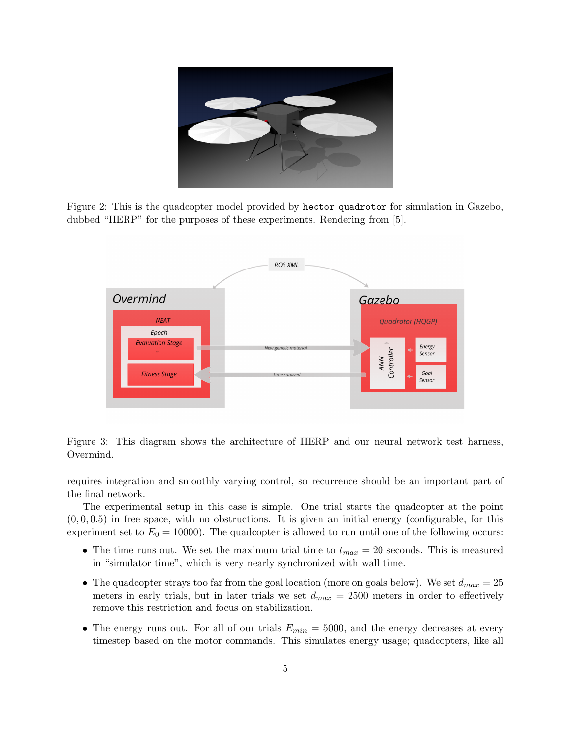

Figure 2: This is the quadcopter model provided by hector quadrotor for simulation in Gazebo, dubbed "HERP" for the purposes of these experiments. Rendering from [5].



Figure 3: This diagram shows the architecture of HERP and our neural network test harness, Overmind.

requires integration and smoothly varying control, so recurrence should be an important part of the final network.

The experimental setup in this case is simple. One trial starts the quadcopter at the point  $(0, 0, 0.5)$  in free space, with no obstructions. It is given an initial energy (configurable, for this experiment set to  $E_0 = 10000$ . The quadcopter is allowed to run until one of the following occurs:

- The time runs out. We set the maximum trial time to  $t_{max} = 20$  seconds. This is measured in "simulator time", which is very nearly synchronized with wall time.
- The quadcopter strays too far from the goal location (more on goals below). We set  $d_{max} = 25$ meters in early trials, but in later trials we set  $d_{max} = 2500$  meters in order to effectively remove this restriction and focus on stabilization.
- The energy runs out. For all of our trials  $E_{min} = 5000$ , and the energy decreases at every timestep based on the motor commands. This simulates energy usage; quadcopters, like all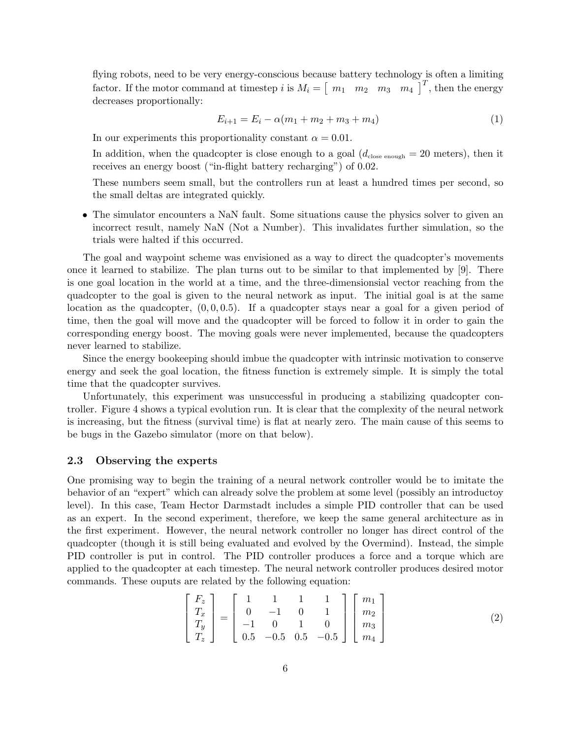flying robots, need to be very energy-conscious because battery technology is often a limiting factor. If the motor command at timestep i is  $M_i = \begin{bmatrix} m_1 & m_2 & m_3 & m_4 \end{bmatrix}^T$ , then the energy decreases proportionally:

$$
E_{i+1} = E_i - \alpha(m_1 + m_2 + m_3 + m_4)
$$
 (1)

In our experiments this proportionality constant  $\alpha = 0.01$ .

In addition, when the quadcopter is close enough to a goal  $(d_{\text{close enough}} = 20 \text{ meters})$ , then it receives an energy boost ("in-flight battery recharging") of 0.02.

These numbers seem small, but the controllers run at least a hundred times per second, so the small deltas are integrated quickly.

• The simulator encounters a NaN fault. Some situations cause the physics solver to given an incorrect result, namely NaN (Not a Number). This invalidates further simulation, so the trials were halted if this occurred.

The goal and waypoint scheme was envisioned as a way to direct the quadcopter's movements once it learned to stabilize. The plan turns out to be similar to that implemented by [9]. There is one goal location in the world at a time, and the three-dimensionsial vector reaching from the quadcopter to the goal is given to the neural network as input. The initial goal is at the same location as the quadcopter,  $(0, 0, 0.5)$ . If a quadcopter stays near a goal for a given period of time, then the goal will move and the quadcopter will be forced to follow it in order to gain the corresponding energy boost. The moving goals were never implemented, because the quadcopters never learned to stabilize.

Since the energy bookeeping should imbue the quadcopter with intrinsic motivation to conserve energy and seek the goal location, the fitness function is extremely simple. It is simply the total time that the quadcopter survives.

Unfortunately, this experiment was unsuccessful in producing a stabilizing quadcopter controller. Figure 4 shows a typical evolution run. It is clear that the complexity of the neural network is increasing, but the fitness (survival time) is flat at nearly zero. The main cause of this seems to be bugs in the Gazebo simulator (more on that below).

#### 2.3 Observing the experts

One promising way to begin the training of a neural network controller would be to imitate the behavior of an "expert" which can already solve the problem at some level (possibly an introductoy level). In this case, Team Hector Darmstadt includes a simple PID controller that can be used as an expert. In the second experiment, therefore, we keep the same general architecture as in the first experiment. However, the neural network controller no longer has direct control of the quadcopter (though it is still being evaluated and evolved by the Overmind). Instead, the simple PID controller is put in control. The PID controller produces a force and a torque which are applied to the quadcopter at each timestep. The neural network controller produces desired motor commands. These ouputs are related by the following equation:

$$
\begin{bmatrix} F_z \\ T_x \\ T_y \\ T_z \end{bmatrix} = \begin{bmatrix} 1 & 1 & 1 & 1 \\ 0 & -1 & 0 & 1 \\ -1 & 0 & 1 & 0 \\ 0.5 & -0.5 & 0.5 & -0.5 \end{bmatrix} \begin{bmatrix} m_1 \\ m_2 \\ m_3 \\ m_4 \end{bmatrix}
$$
 (2)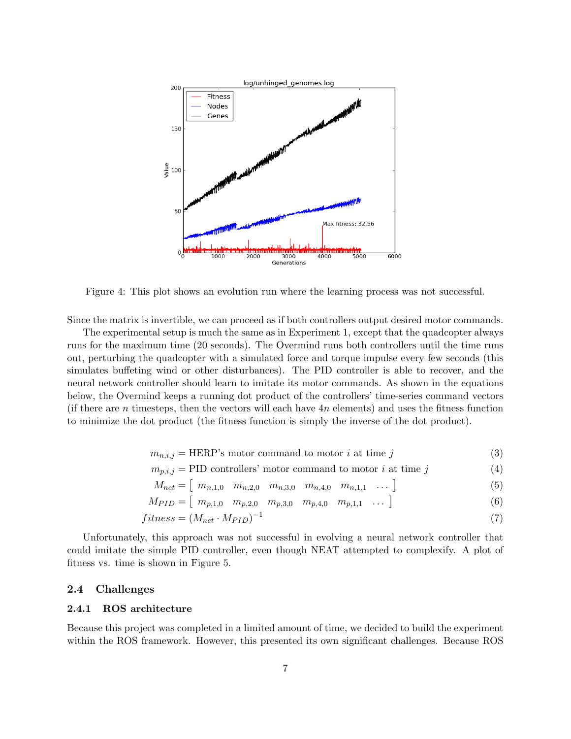

Figure 4: This plot shows an evolution run where the learning process was not successful.

Since the matrix is invertible, we can proceed as if both controllers output desired motor commands.

The experimental setup is much the same as in Experiment 1, except that the quadcopter always runs for the maximum time (20 seconds). The Overmind runs both controllers until the time runs out, perturbing the quadcopter with a simulated force and torque impulse every few seconds (this simulates buffeting wind or other disturbances). The PID controller is able to recover, and the neural network controller should learn to imitate its motor commands. As shown in the equations below, the Overmind keeps a running dot product of the controllers' time-series command vectors (if there are n timesteps, then the vectors will each have  $4n$  elements) and uses the fitness function to minimize the dot product (the fitness function is simply the inverse of the dot product).

$$
m_{n,i,j} = \text{HERP's motor command to motor } i \text{ at time } j \tag{3}
$$

$$
m_{p,i,j} = \text{PID controllers' motor command to motor } i \text{ at time } j \tag{4}
$$

$$
M_{net} = [m_{n,1,0} \quad m_{n,2,0} \quad m_{n,3,0} \quad m_{n,4,0} \quad m_{n,1,1} \quad \dots \tag{5}
$$

$$
M_{PID} = \begin{bmatrix} m_{p,1,0} & m_{p,2,0} & m_{p,3,0} & m_{p,4,0} & m_{p,1,1} & \dots \end{bmatrix}
$$
 (6)

$$
fitness = (M_{net} \cdot M_{PID})^{-1} \tag{7}
$$

Unfortunately, this approach was not successful in evolving a neural network controller that could imitate the simple PID controller, even though NEAT attempted to complexify. A plot of fitness vs. time is shown in Figure 5.

# 2.4 Challenges

# 2.4.1 ROS architecture

Because this project was completed in a limited amount of time, we decided to build the experiment within the ROS framework. However, this presented its own significant challenges. Because ROS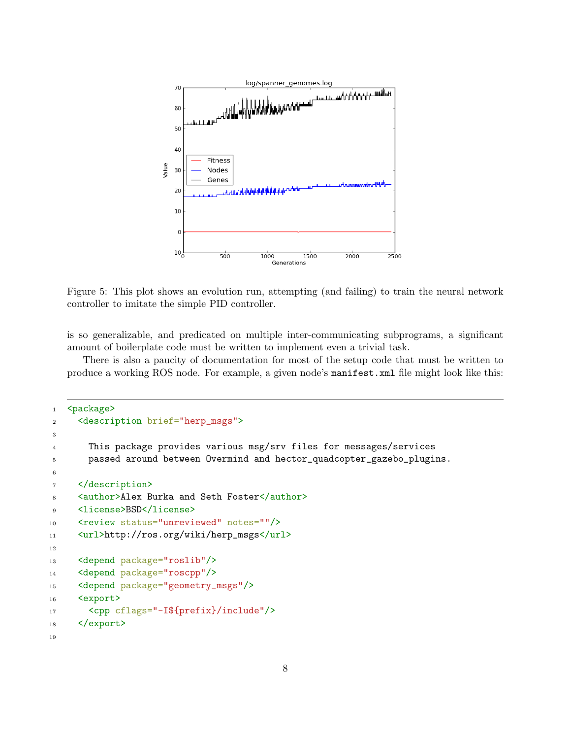

Figure 5: This plot shows an evolution run, attempting (and failing) to train the neural network controller to imitate the simple PID controller.

is so generalizable, and predicated on multiple inter-communicating subprograms, a significant amount of boilerplate code must be written to implement even a trivial task.

There is also a paucity of documentation for most of the setup code that must be written to produce a working ROS node. For example, a given node's manifest.xml file might look like this:

```
1 <package>
2 <description brief="herp_msgs">
3
4 This package provides various msg/srv files for messages/services
5 passed around between Overmind and hector_quadcopter_gazebo_plugins.
6
7 </description>
8 <author>Alex Burka and Seth Foster</author>
9 <license>BSD</license>
10 <review status="unreviewed" notes=""/>
11 <url>http://ros.org/wiki/herp_msgs</url>
12
13 <depend package="roslib"/>
14 <depend package="roscpp"/>
15 <depend package="geometry_msgs"/>
16 <export>
17 <cpp cflags="-I${prefix}/include"/>
18 </export>
19
```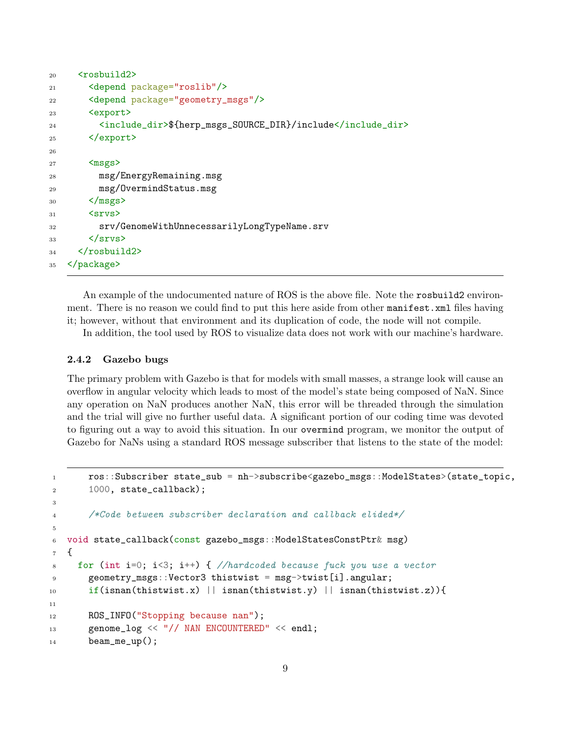```
20 <rosbuild2>
21 <depend package="roslib"/>
22 <depend package="geometry_msgs"/>
23 <export>
24 <include_dir>${herp_msgs_SOURCE_DIR}/include</include_dir>
25 </export>
26
27 <msgs>
28 msg/EnergyRemaining.msg
29 msg/OvermindStatus.msg
30 \times / \text{msgs}31 \langlesrvs>
32 srv/GenomeWithUnnecessarilyLongTypeName.srv
33 \times \langle srvs>
34 \times /rosbuild2>
35 </package>
```
An example of the undocumented nature of ROS is the above file. Note the rosbuild2 environment. There is no reason we could find to put this here aside from other manifest. xml files having it; however, without that environment and its duplication of code, the node will not compile.

In addition, the tool used by ROS to visualize data does not work with our machine's hardware.

# 2.4.2 Gazebo bugs

The primary problem with Gazebo is that for models with small masses, a strange look will cause an overflow in angular velocity which leads to most of the model's state being composed of NaN. Since any operation on NaN produces another NaN, this error will be threaded through the simulation and the trial will give no further useful data. A significant portion of our coding time was devoted to figuring out a way to avoid this situation. In our overmind program, we monitor the output of Gazebo for NaNs using a standard ROS message subscriber that listens to the state of the model:

```
1 ros::Subscriber state_sub = nh->subscribe<gazebo_msgs::ModelStates>(state_topic,
2 1000, state_callback);
3
4 /*Code between subscriber declaration and callback elided*/
5
6 void state_callback(const gazebo_msgs::ModelStatesConstPtr& msg)
7 {
     for (int i=0; i<3; i++) { //hardcoded because fuck you use a vector
9 geometry_msgs::Vector3 thistwist = msg->twist[i].angular;
10 if(isnan(thistwist.x) || isnan(thistwist.y) || isnan(thistwist.z)){
11
12 ROS_INFO("Stopping because nan");
13 genome_log << "// NAN ENCOUNTERED" << endl;
14 beam_me_up();
```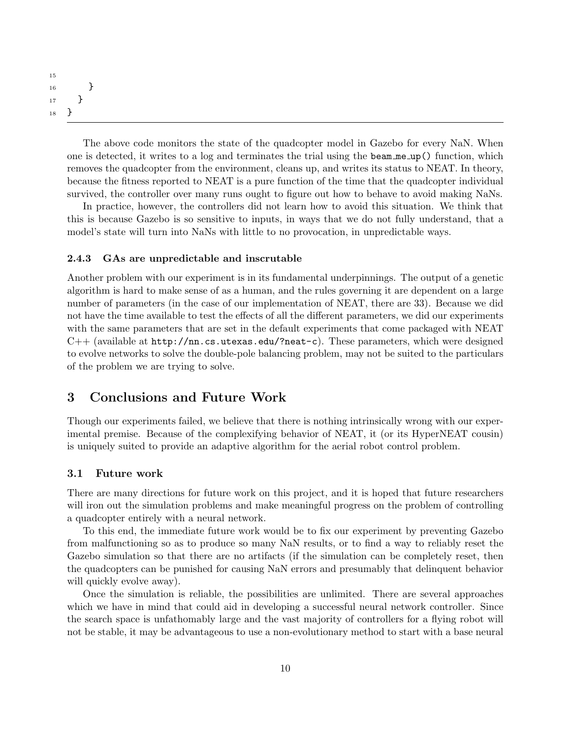```
15
16 }
17 }
18 }
```
The above code monitors the state of the quadcopter model in Gazebo for every NaN. When one is detected, it writes to a log and terminates the trial using the beam me up() function, which removes the quadcopter from the environment, cleans up, and writes its status to NEAT. In theory, because the fitness reported to NEAT is a pure function of the time that the quadcopter individual survived, the controller over many runs ought to figure out how to behave to avoid making NaNs.

In practice, however, the controllers did not learn how to avoid this situation. We think that this is because Gazebo is so sensitive to inputs, in ways that we do not fully understand, that a model's state will turn into NaNs with little to no provocation, in unpredictable ways.

#### 2.4.3 GAs are unpredictable and inscrutable

Another problem with our experiment is in its fundamental underpinnings. The output of a genetic algorithm is hard to make sense of as a human, and the rules governing it are dependent on a large number of parameters (in the case of our implementation of NEAT, there are 33). Because we did not have the time available to test the effects of all the different parameters, we did our experiments with the same parameters that are set in the default experiments that come packaged with NEAT  $C++$  (available at http://nn.cs.utexas.edu/?neat-c). These parameters, which were designed to evolve networks to solve the double-pole balancing problem, may not be suited to the particulars of the problem we are trying to solve.

# 3 Conclusions and Future Work

Though our experiments failed, we believe that there is nothing intrinsically wrong with our experimental premise. Because of the complexifying behavior of NEAT, it (or its HyperNEAT cousin) is uniquely suited to provide an adaptive algorithm for the aerial robot control problem.

## 3.1 Future work

There are many directions for future work on this project, and it is hoped that future researchers will iron out the simulation problems and make meaningful progress on the problem of controlling a quadcopter entirely with a neural network.

To this end, the immediate future work would be to fix our experiment by preventing Gazebo from malfunctioning so as to produce so many NaN results, or to find a way to reliably reset the Gazebo simulation so that there are no artifacts (if the simulation can be completely reset, then the quadcopters can be punished for causing NaN errors and presumably that delinquent behavior will quickly evolve away).

Once the simulation is reliable, the possibilities are unlimited. There are several approaches which we have in mind that could aid in developing a successful neural network controller. Since the search space is unfathomably large and the vast majority of controllers for a flying robot will not be stable, it may be advantageous to use a non-evolutionary method to start with a base neural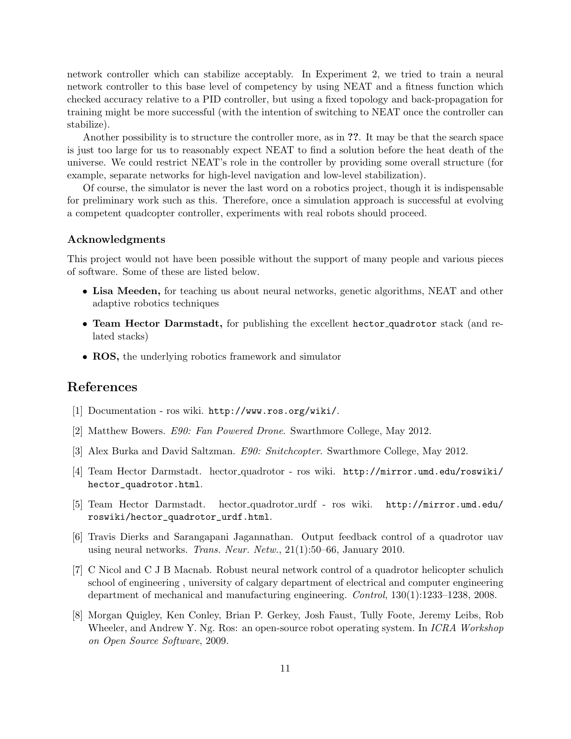network controller which can stabilize acceptably. In Experiment 2, we tried to train a neural network controller to this base level of competency by using NEAT and a fitness function which checked accuracy relative to a PID controller, but using a fixed topology and back-propagation for training might be more successful (with the intention of switching to NEAT once the controller can stabilize).

Another possibility is to structure the controller more, as in ??. It may be that the search space is just too large for us to reasonably expect NEAT to find a solution before the heat death of the universe. We could restrict NEAT's role in the controller by providing some overall structure (for example, separate networks for high-level navigation and low-level stabilization).

Of course, the simulator is never the last word on a robotics project, though it is indispensable for preliminary work such as this. Therefore, once a simulation approach is successful at evolving a competent quadcopter controller, experiments with real robots should proceed.

### Acknowledgments

This project would not have been possible without the support of many people and various pieces of software. Some of these are listed below.

- Lisa Meeden, for teaching us about neural networks, genetic algorithms, NEAT and other adaptive robotics techniques
- Team Hector Darmstadt, for publishing the excellent hector quadrotor stack (and related stacks)
- ROS, the underlying robotics framework and simulator

# References

- [1] Documentation ros wiki. http://www.ros.org/wiki/.
- [2] Matthew Bowers. E90: Fan Powered Drone. Swarthmore College, May 2012.
- [3] Alex Burka and David Saltzman. E90: Snitchcopter. Swarthmore College, May 2012.
- [4] Team Hector Darmstadt. hector quadrotor ros wiki. http://mirror.umd.edu/roswiki/ hector\_quadrotor.html.
- [5] Team Hector Darmstadt. hector quadrotor urdf ros wiki. http://mirror.umd.edu/ roswiki/hector\_quadrotor\_urdf.html.
- [6] Travis Dierks and Sarangapani Jagannathan. Output feedback control of a quadrotor uav using neural networks. Trans. Neur. Netw., 21(1):50–66, January 2010.
- [7] C Nicol and C J B Macnab. Robust neural network control of a quadrotor helicopter schulich school of engineering , university of calgary department of electrical and computer engineering department of mechanical and manufacturing engineering. Control, 130(1):1233–1238, 2008.
- [8] Morgan Quigley, Ken Conley, Brian P. Gerkey, Josh Faust, Tully Foote, Jeremy Leibs, Rob Wheeler, and Andrew Y. Ng. Ros: an open-source robot operating system. In *ICRA Workshop* on Open Source Software, 2009.